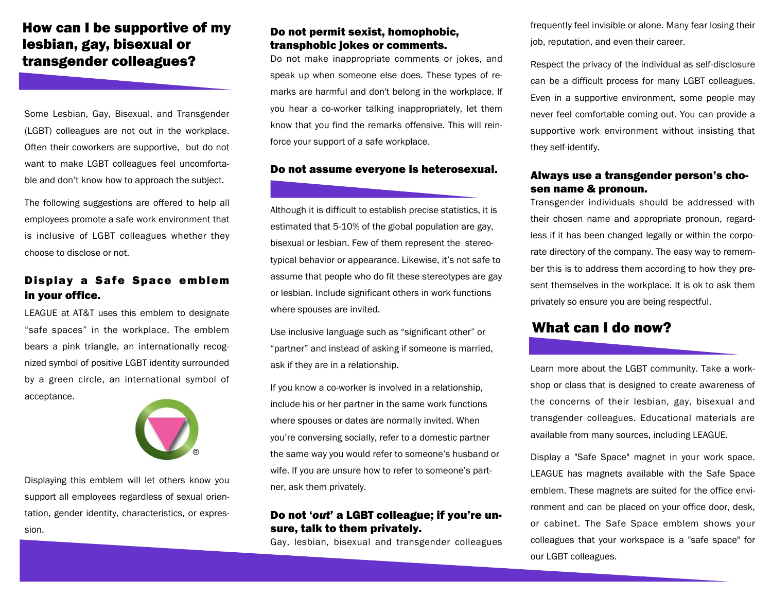## How can I be supportive of my lesbian, gay, bisexual or transgender colleagues?

Some Lesbian, Gay, Bisexual, and Transgender (LGBT) colleagues are not out in the workplace. Often their coworkers are supportive, but do not want to make LGBT colleagues feel uncomfortable and don't know how to approach the subject.

The following suggestions are offered to help all employees promote a safe work environment that is inclusive of LGBT colleagues whether they choose to disclose or not.

#### Display a Safe Space emblem in your office.

LEAGUE at AT&T uses this emblem to designate "safe spaces" in the workplace. The emblem bears a pink triangle, an internationally recognized symbol of positive LGBT identity surrounded by a green circle, an international symbol of acceptance.



Displaying this emblem will let others know you support all employees regardless of sexual orientation, gender identity, characteristics, or expression.

#### Do not permit sexist, homophobic, transphobic jokes or comments.

Do not make inappropriate comments or jokes, and speak up when someone else does. These types of remarks are harmful and don't belong in the workplace. If you hear a co-worker talking inappropriately, let them know that you find the remarks offensive. This will reinforce your support of a safe workplace.

#### Do not assume everyone is heterosexual.

Although it is difficult to establish precise statistics, it is estimated that 5-10% of the global population are gay, bisexual or lesbian. Few of them represent the stereotypical behavior or appearance. Likewise, it's not safe to assume that people who do fit these stereotypes are gay or lesbian. Include significant others in work functions where spouses are invited.

Use inclusive language such as "significant other" or "partner" and instead of asking if someone is married, ask if they are in a relationship.

If you know a co-worker is involved in a relationship, include his or her partner in the same work functions where spouses or dates are normally invited. When you're conversing socially, refer to a domestic partner the same way you would refer to someone's husband or wife. If you are unsure how to refer to someone's partner, ask them privately.

#### Do not '*out*' a LGBT colleague; if you're unsure, talk to them privately.

Gay, lesbian, bisexual and transgender colleagues

frequently feel invisible or alone. Many fear losing their job, reputation, and even their career.

Respect the privacy of the individual as self-disclosure can be a difficult process for many LGBT colleagues. Even in a supportive environment, some people may never feel comfortable coming out. You can provide a supportive work environment without insisting that they self-identify.

#### Always use a transgender person's chosen name & pronoun.

Transgender individuals should be addressed with their chosen name and appropriate pronoun, regardless if it has been changed legally or within the corporate directory of the company. The easy way to remember this is to address them according to how they present themselves in the workplace. It is ok to ask them privately so ensure you are being respectful.

### What can I do now?

Learn more about the LGBT community. Take a workshop or class that is designed to create awareness of the concerns of their lesbian, gay, bisexual and transgender colleagues. Educational materials are available from many sources, including LEAGUE.

Display a "Safe Space" magnet in your work space. LEAGUE has magnets available with the Safe Space emblem. These magnets are suited for the office environment and can be placed on your office door, desk, or cabinet. The Safe Space emblem shows your colleagues that your workspace is a "safe space" for our LGBT colleagues.